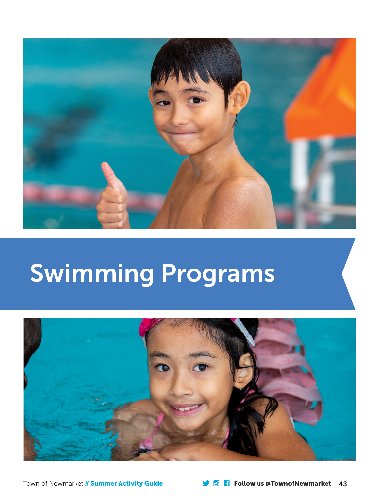

# Swimming Programs

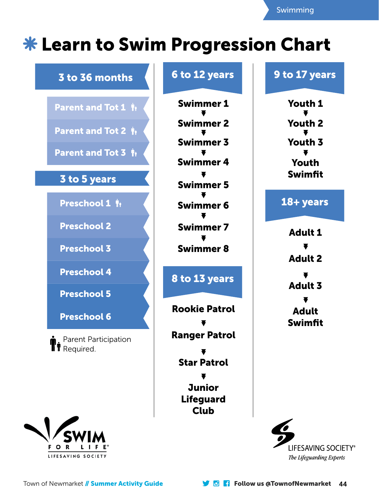# **\* Learn to Swim Progression Chart**





# 6 to 12 years **9 to 17 years**

Swimmer 1 Youth 1 Swimmer 2 Youth 2 Swimfit

## 18+ years

Adult 1 Adult 2 Adult 3 Adult Swimfit



LIFESAVING SOCIETY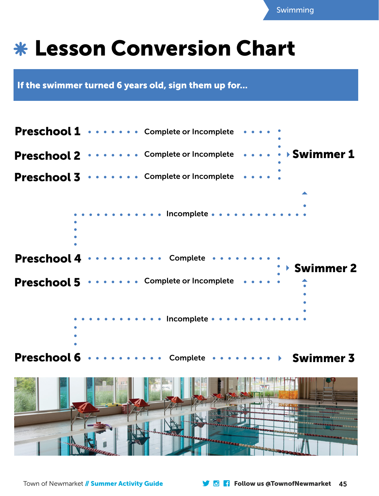

# Lesson Conversion Chart

If the swimmer turned 6 years old, sign them up for...



Swimmer 3 Preschool 6 · Complete

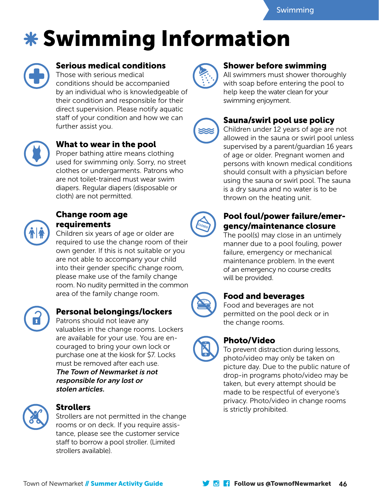# Swimming Information



#### Serious medical conditions

Those with serious medical conditions should be accompanied by an individual who is knowledgeable of their condition and responsible for their direct supervision. Please notify aquatic staff of your condition and how we can further assist you.



### What to wear in the pool

Proper bathing attire means clothing used for swimming only. Sorry, no street clothes or undergarments. Patrons who are not toilet-trained must wear swim diapers. Regular diapers (disposable or cloth) are not permitted.



#### Change room age requirements

Children six years of age or older are required to use the change room of their own gender. If this is not suitable or you are not able to accompany your child into their gender specific change room, please make use of the family change room. No nudity permitted in the common area of the family change room.



## Personal belongings/lockers

Patrons should not leave any valuables in the change rooms. Lockers are available for your use. You are encouraged to bring your own lock or purchase one at the kiosk for \$7. Locks must be removed after each use. The Town of Newmarket is not responsible for any lost or stolen articles.



### Strollers

Strollers are not permitted in the change rooms or on deck. If you require assistance, please see the customer service staff to borrow a pool stroller. (Limited strollers available).



#### Shower before swimming

All swimmers must shower thoroughly with soap before entering the pool to help keep the water clean for your swimming enjoyment.



### Sauna/swirl pool use policy

Children under 12 years of age are not allowed in the sauna or swirl pool unless supervised by a parent/guardian 16 years of age or older. Pregnant women and persons with known medical conditions should consult with a physician before using the sauna or swirl pool. The sauna is a dry sauna and no water is to be thrown on the heating unit.



### Pool foul/power failure/emergency/maintenance closure

The pool(s) may close in an untimely manner due to a pool fouling, power failure, emergency or mechanical maintenance problem. In the event of an emergency no course credits will be provided.



#### Food and beverages

Food and beverages are not permitted on the pool deck or in the change rooms.



## Photo/Video

To prevent distraction during lessons, photo/video may only be taken on picture day. Due to the public nature of drop-in programs photo/video may be taken, but every attempt should be made to be respectful of everyone's privacy. Photo/video in change rooms is strictly prohibited.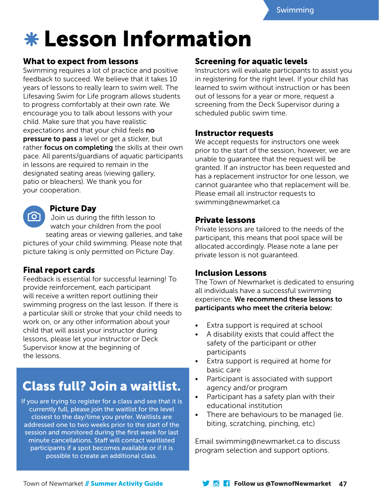# Lesson Information

#### What to expect from lessons

Swimming requires a lot of practice and positive feedback to succeed. We believe that it takes 10 years of lessons to really learn to swim well. The Lifesaving Swim for Life program allows students to progress comfortably at their own rate. We encourage you to talk about lessons with your child. Make sure that you have realistic expectations and that your child feels no pressure to pass a level or get a sticker, but rather focus on completing the skills at their own pace. All parents/guardians of aquatic participants in lessons are required to remain in the designated seating areas (viewing gallery, patio or bleachers). We thank you for your cooperation.

#### Picture Day

ര്വ Join us during the fifth lesson to watch your children from the pool seating areas or viewing galleries, and take

pictures of your child swimming. Please note that picture taking is only permitted on Picture Day.

#### Final report cards

Feedback is essential for successful learning! To provide reinforcement, each participant will receive a written report outlining their swimming progress on the last lesson. If there is a particular skill or stroke that your child needs to work on, or any other information about your child that will assist your instructor during lessons, please let your instructor or Deck Supervisor know at the beginning of the lessons.

# Class full? Join a waitlist.

If you are trying to register for a class and see that it is currently full, please join the waitlist for the level closest to the day/time you prefer. Waitlists are addressed one to two weeks prior to the start of the session and monitored during the first week for last minute cancellations. Staff will contact waitlisted participants if a spot becomes available or if it is possible to create an additional class.

### Screening for aquatic levels

Instructors will evaluate participants to assist you in registering for the right level. If your child has learned to swim without instruction or has been out of lessons for a year or more, request a screening from the Deck Supervisor during a scheduled public swim time.

#### Instructor requests

We accept requests for instructors one week prior to the start of the session, however, we are unable to guarantee that the request will be granted. If an instructor has been requested and has a replacement instructor for one lesson, we cannot guarantee who that replacement will be. Please email all instructor requests to swimming@newmarket.ca

#### Private lessons

Private lessons are tailored to the needs of the participant, this means that pool space will be allocated accordingly. Please note a lane per private lesson is not guaranteed.

#### Inclusion Lessons

The Town of Newmarket is dedicated to ensuring all individuals have a successful swimming experience. We recommend these lessons to participants who meet the criteria below:

- Extra support is required at school
- A disability exists that could affect the safety of the participant or other participants
- Extra support is required at home for basic care
- Participant is associated with support agency and/or program
- Participant has a safety plan with their educational institution
- There are behaviours to be managed (ie. biting, scratching, pinching, etc)

Email swimming@newmarket.ca to discuss program selection and support options.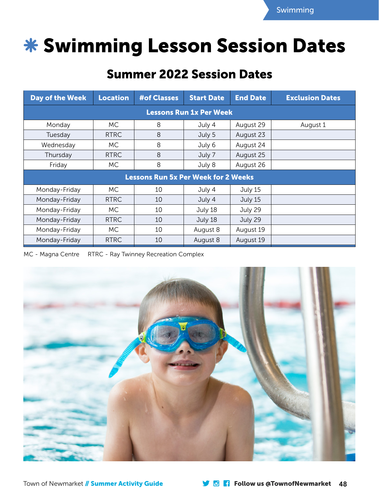

# **\* Swimming Lesson Session Dates**

# Summer 2022 Session Dates

| Day of the Week                            | <b>Location</b> | <b>#of Classes</b> | <b>Start Date</b> | <b>End Date</b> | <b>Exclusion Dates</b> |
|--------------------------------------------|-----------------|--------------------|-------------------|-----------------|------------------------|
| <b>Lessons Run 1x Per Week</b>             |                 |                    |                   |                 |                        |
| Monday                                     | МC              | 8                  | July 4            | August 29       | August 1               |
| Tuesday                                    | <b>RTRC</b>     | 8                  | July 5            | August 23       |                        |
| Wednesday                                  | MC.             | 8                  | July 6            | August 24       |                        |
| Thursday                                   | <b>RTRC</b>     | 8                  | July 7            | August 25       |                        |
| Friday                                     | МC              | 8                  | July 8            | August 26       |                        |
| <b>Lessons Run 5x Per Week for 2 Weeks</b> |                 |                    |                   |                 |                        |
| Monday-Friday                              | MC.             | 10                 | July 4            | July 15         |                        |
| Monday-Friday                              | <b>RTRC</b>     | 10                 | July 4            | July 15         |                        |
| Monday-Friday                              | MC.             | 10                 | July 18           | July 29         |                        |
| Monday-Friday                              | <b>RTRC</b>     | 10                 | July 18           | July 29         |                        |
| Monday-Friday                              | МC              | 10                 | August 8          | August 19       |                        |
| Monday-Friday                              | <b>RTRC</b>     | 10                 | August 8          | August 19       |                        |

MC - Magna Centre RTRC - Ray Twinney Recreation Complex

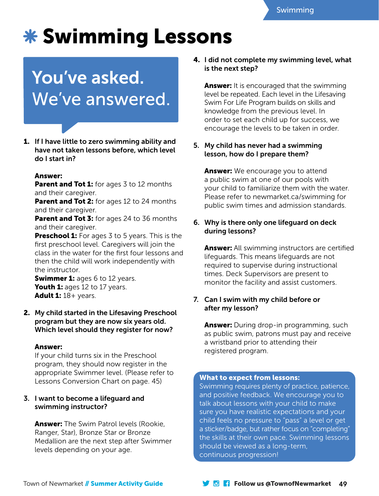# \* Swimming Lessons

# You've asked. We've answered.

1. If I have little to zero swimming ability and have not taken lessons before, which level do I start in?

#### Answer:

**Parent and Tot 1:** for ages 3 to 12 months and their caregiver.

**Parent and Tot 2:** for ages 12 to 24 months and their caregiver.

**Parent and Tot 3:** for ages 24 to 36 months and their caregiver.

**Preschool 1:** For ages 3 to 5 years. This is the first preschool level. Caregivers will join the class in the water for the first four lessons and then the child will work independently with the instructor.

**Swimmer 1:** ages 6 to 12 years. Youth 1: ages 12 to 17 years. Adult 1:  $18 +$  years.

2. My child started in the Lifesaving Preschool program but they are now six years old. Which level should they register for now?

#### Answer:

If your child turns six in the Preschool program, they should now register in the appropriate Swimmer level. (Please refer to Lessons Conversion Chart on page. 45)

#### 3. I want to become a lifeguard and swimming instructor?

**Answer:** The Swim Patrol levels (Rookie, Ranger, Star), Bronze Star or Bronze Medallion are the next step after Swimmer levels depending on your age.

#### 4. I did not complete my swimming level, what is the next step?

**Answer:** It is encouraged that the swimming level be repeated. Each level in the Lifesaving Swim For Life Program builds on skills and knowledge from the previous level. In order to set each child up for success, we encourage the levels to be taken in order.

5. My child has never had a swimming lesson, how do I prepare them?

**Answer:** We encourage you to attend a public swim at one of our pools with your child to familiarize them with the water. Please refer to newmarket.ca/swimming for public swim times and admission standards.

#### 6. Why is there only one lifeguard on deck during lessons?

**Answer:** All swimming instructors are certified lifeguards. This means lifeguards are not required to supervise during instructional times. Deck Supervisors are present to monitor the facility and assist customers.

#### 7. Can I swim with my child before or after my lesson?

**Answer:** During drop-in programming, such as public swim, patrons must pay and receive a wristband prior to attending their registered program.

#### What to expect from lessons:

Swimming requires plenty of practice, patience, and positive feedback. We encourage you to talk about lessons with your child to make sure you have realistic expectations and your child feels no pressure to "pass" a level or get a sticker/badge, but rather focus on "completing" the skills at their own pace. Swimming lessons should be viewed as a long-term, continuous progression!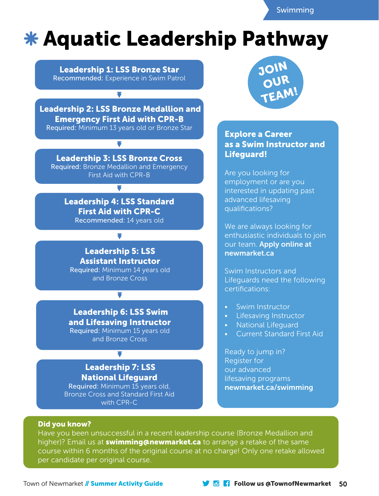Swimming

# Leadership Progression Chart **Aquatic Leadership Pathway**

Leadership 1: LSS Bronze Star Recommended: Experience in Swim Patrol

 $\overline{\phantom{a}}$ 

 Leadership 2: LSS Bronze Medallion and Emergency First Aid with CPR-B Required: Minimum 13 years old or Bronze Star

Leadership 3: LSS Bronze Cross Required: Bronze Medallion and Emergency First Aid with CPR-B

 $\overline{\phantom{a}}$ 

Leadership 4: LSS Standard First Aid with CPR-C Recommended: 14 years old

▼

Leadership 5: LSS Assistant Instructor Required: Minimum 14 years old and Bronze Cross

 Leadership 6: LSS Swim and Lifesaving Instructor Required: Minimum 15 years old and Bronze Cross

▼

### Leadership 7: LSS National Lifeguard

Required: Minimum 15 years old, Bronze Cross and Standard First Aid with CPR-C



#### Explore a Career Explore a Career as a Swim Instructor as a Swim Instructor and Lifeguard!

Are you looking for Are you looking for employment or are you employment or are you interested in updating interested in updating past ca in apadung p advanced lifesaving<br>avelifications? qualifications?

We are always looking We are always looking for nte are alloys to shing for<br>enthusiastic individuals to join our team. Apply online at team. Apply online newmarket.ca

Lifeguards need the following certifications: Swim Instructors and

- Swim Instructor Swim Instructor
- Lifesaving Instructor Lifesaving Instructor
- National Lifeguard National Lifeguard
- Current Standard Current Standard First Aid

Register for Jump in 2014 our advanced and the lifesaving programs newmarket.ca/swimming Ready to jump in?

#### Did you know?

\*Bronze Star is a manditory prerequisite ONLY if candidate does not meet the age requirement for Bronze ion. and 13+ may progress from Swim Patrol to Bronze Medallion. The 13+ may progress from Swim Patrol to Bronz higher)? Email us at **swimming@newmarket.ca** to arrange a retake of the same Have you been unsuccessful in a recent leadership course (Bronze Medallion and course within 6 months of the original course at no charge! Only one retake allowed per candidate per original course.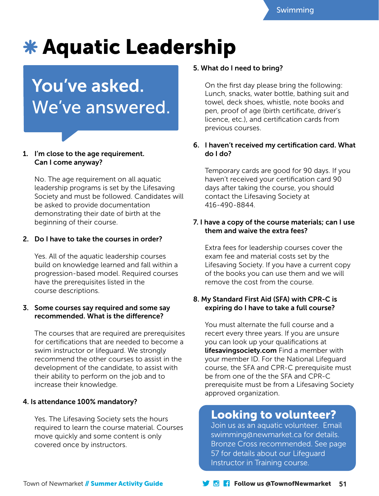# \* Aquatic Leadership

# You've asked. We've answered.

#### 1. I'm close to the age requirement. Can I come anyway?

No. The age requirement on all aquatic leadership programs is set by the Lifesaving Society and must be followed. Candidates will be asked to provide documentation demonstrating their date of birth at the beginning of their course.

#### 2. Do I have to take the courses in order?

Yes. All of the aquatic leadership courses build on knowledge learned and fall within a progression-based model. Required courses have the prerequisites listed in the course descriptions.

#### 3. Some courses say required and some say recommended. What is the difference?

The courses that are required are prerequisites for certifications that are needed to become a swim instructor or lifeguard. We strongly recommend the other courses to assist in the development of the candidate, to assist with their ability to perform on the job and to increase their knowledge.

#### 4. Is attendance 100% mandatory?

Yes. The Lifesaving Society sets the hours required to learn the course material. Courses move quickly and some content is only covered once by instructors.

#### 5. What do I need to bring?

On the first day please bring the following: Lunch, snacks, water bottle, bathing suit and towel, deck shoes, whistle, note books and pen, proof of age (birth certificate, driver's licence, etc.), and certification cards from previous courses.

#### 6. I haven't received my certification card. What do I do?

Temporary cards are good for 90 days. If you haven't received your certification card 90 days after taking the course, you should contact the Lifesaving Society at 416-490-8844.

#### 7. I have a copy of the course materials; can I use them and waive the extra fees?

Extra fees for leadership courses cover the exam fee and material costs set by the Lifesaving Society. If you have a current copy of the books you can use them and we will remove the cost from the course.

#### 8. My Standard First Aid (SFA) with CPR-C is expiring do I have to take a full course?

You must alternate the full course and a recert every three years. If you are unsure you can look up your qualifications at lifesavingsociety.com Find a member with your member ID. For the National Lifeguard course, the SFA and CPR-C prerequisite must be from one of the the SFA and CPR-C prerequisite must be from a Lifesaving Society approved organization.

# Looking to volunteer?

Join us as an aquatic volunteer. Email swimming@newmarket.ca for details. Bronze Cross recommended. See page 57 for details about our Lifeguard Instructor in Training course.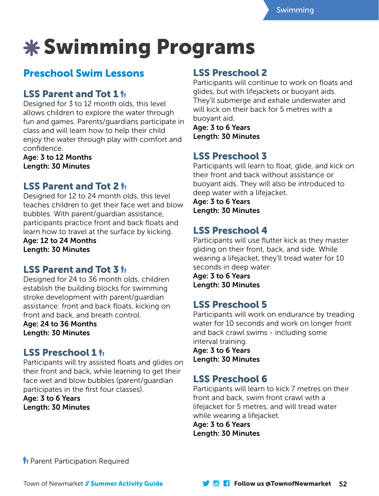# Swimming Programs

# Preschool Swim Lessons

# LSS Parent and Tot 1  $\mathbf{h}$

Designed for 3 to 12 month olds, this level allows children to explore the water through fun and games. Parents/guardians participate in class and will learn how to help their child enjoy the water through play with comfort and confidence.

Age: 3 to 12 Months Length: 30 Minutes

## LSS Parent and Tot 2  $\dot{\mathbb{H}}$

Designed for 12 to 24 month olds, this level teaches children to get their face wet and blow bubbles. With parent/guardian assistance, participants practice front and back floats and learn how to travel at the surface by kicking.

Age: 12 to 24 Months Length: 30 Minutes

## LSS Parent and Tot 3  $\dot{p}_i$

Designed for 24 to 36 month olds, children establish the building blocks for swimming stroke development with parent/guardian assistance: front and back floats, kicking on front and back, and breath control.

Age: 24 to 36 Months Length: 30 Minutes

## LSS Preschool 1  $\mathbf{h}_1$

Participants will try assisted floats and glides on their front and back, while learning to get their face wet and blow bubbles (parent/guardian participates in the first four classes).

Age: 3 to 6 Years Length: 30 Minutes

## LSS Preschool 2

Participants will continue to work on floats and glides, but with lifejackets or buoyant aids. They'll submerge and exhale underwater and will kick on their back for 5 metres with a buoyant aid.

Age: 3 to 6 Years Length: 30 Minutes

# LSS Preschool 3

Participants will learn to float, glide, and kick on their front and back without assistance or buoyant aids. They will also be introduced to deep water with a lifejacket.

Age: 3 to 6 Years Length: 30 Minutes

# LSS Preschool 4

Participants will use flutter kick as they master gliding on their front, back, and side. While wearing a lifejacket, they'll tread water for 10 seconds in deep water.

Age: 3 to 6 Years Length: 30 Minutes

# LSS Preschool 5

Participants will work on endurance by treading water for 10 seconds and work on longer front and back crawl swims - including some interval training.

Age: 3 to 6 Years Length: 30 Minutes

# LSS Preschool 6

Participants will learn to kick 7 metres on their front and back, swim front crawl with a lifejacket for 5 metres, and will tread water while wearing a lifejacket.

Age: 3 to 6 Years Length: 30 Minutes

**Ti** Parent Participation Required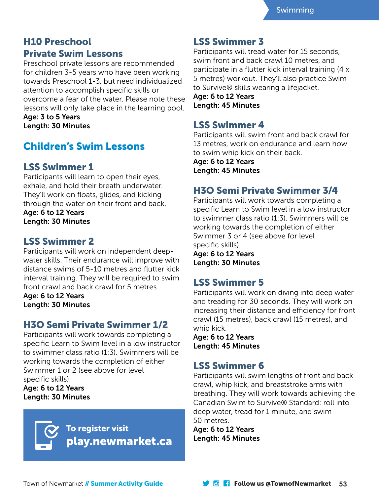# H10 Preschool Private Swim Lessons

Preschool private lessons are recommended for children 3-5 years who have been working towards Preschool 1-3, but need individualized attention to accomplish specific skills or overcome a fear of the water. Please note these lessons will only take place in the learning pool.

Age: 3 to 5 Years Length: 30 Minutes

# Children's Swim Lessons

# LSS Swimmer 1

Participants will learn to open their eyes, exhale, and hold their breath underwater. They'll work on floats, glides, and kicking through the water on their front and back.

Age: 6 to 12 Years Length: 30 Minutes

# LSS Swimmer 2

Participants will work on independent deepwater skills. Their endurance will improve with distance swims of 5-10 metres and flutter kick interval training. They will be required to swim front crawl and back crawl for 5 metres.

Age: 6 to 12 Years Length: 30 Minutes

## H3O Semi Private Swimmer 1/2

Participants will work towards completing a specific Learn to Swim level in a low instructor to swimmer class ratio (1:3). Swimmers will be working towards the completion of either Swimmer 1 or 2 (see above for level specific skills).

Age: 6 to 12 Years Length: 30 Minutes



## LSS Swimmer 3

Participants will tread water for 15 seconds, swim front and back crawl 10 metres, and participate in a flutter kick interval training (4 x 5 metres) workout. They'll also practice Swim to Survive® skills wearing a lifejacket.

Age: 6 to 12 Years Length: 45 Minutes

## LSS Swimmer 4

Participants will swim front and back crawl for 13 metres, work on endurance and learn how to swim whip kick on their back.

Age: 6 to 12 Years Length: 45 Minutes

# H3O Semi Private Swimmer 3/4

Participants will work towards completing a specific Learn to Swim level in a low instructor to swimmer class ratio (1:3). Swimmers will be working towards the completion of either Swimmer 3 or 4 (see above for level specific skills).

Age: 6 to 12 Years Length: 30 Minutes

# LSS Swimmer 5

Participants will work on diving into deep water and treading for 30 seconds. They will work on increasing their distance and efficiency for front crawl (15 metres), back crawl (15 metres), and whip kick.

Age: 6 to 12 Years Length: 45 Minutes

# LSS Swimmer 6

Participants will swim lengths of front and back crawl, whip kick, and breaststroke arms with breathing. They will work towards achieving the Canadian Swim to Survive® Standard: roll into deep water, tread for 1 minute, and swim 50 metres.

Age: 6 to 12 Years Length: 45 Minutes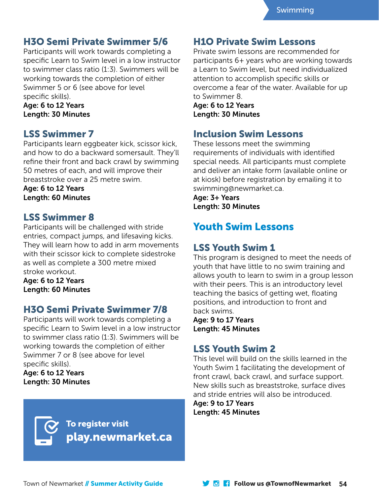## H3O Semi Private Swimmer 5/6

Participants will work towards completing a specific Learn to Swim level in a low instructor to swimmer class ratio (1:3). Swimmers will be working towards the completion of either Swimmer 5 or 6 (see above for level specific skills).

#### Age: 6 to 12 Years Length: 30 Minutes

### LSS Swimmer 7

Participants learn eggbeater kick, scissor kick, and how to do a backward somersault. They'll refine their front and back crawl by swimming 50 metres of each, and will improve their breaststroke over a 25 metre swim.

Age: 6 to 12 Years Length: 60 Minutes

## LSS Swimmer 8

Participants will be challenged with stride entries, compact jumps, and lifesaving kicks. They will learn how to add in arm movements with their scissor kick to complete sidestroke as well as complete a 300 metre mixed stroke workout.

Age: 6 to 12 Years Length: 60 Minutes

## H3O Semi Private Swimmer 7/8

Participants will work towards completing a specific Learn to Swim level in a low instructor to swimmer class ratio (1:3). Swimmers will be working towards the completion of either Swimmer 7 or 8 (see above for level specific skills).

Age: 6 to 12 Years Length: 30 Minutes



### H1O Private Swim Lessons

Private swim lessons are recommended for participants 6+ years who are working towards a Learn to Swim level, but need individualized attention to accomplish specific skills or overcome a fear of the water. Available for up to Swimmer 8.

Age: 6 to 12 Years Length: 30 Minutes

## Inclusion Swim Lessons

These lessons meet the swimming requirements of individuals with identified special needs. All participants must complete and deliver an intake form (available online or at kiosk) before registration by emailing it to swimming@newmarket.ca.

Age: 3+ Years Length: 30 Minutes

# Youth Swim Lessons

## LSS Youth Swim 1

This program is designed to meet the needs of youth that have little to no swim training and allows youth to learn to swim in a group lesson with their peers. This is an introductory level teaching the basics of getting wet, floating positions, and introduction to front and back swims.

Age: 9 to 17 Years Length: 45 Minutes

## LSS Youth Swim 2

This level will build on the skills learned in the Youth Swim 1 facilitating the development of front crawl, back crawl, and surface support. New skills such as breaststroke, surface dives and stride entries will also be introduced.

Age: 9 to 17 Years Length: 45 Minutes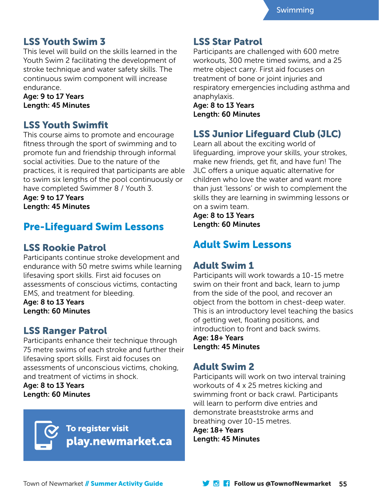## LSS Youth Swim 3

This level will build on the skills learned in the Youth Swim 2 facilitating the development of stroke technique and water safety skills. The continuous swim component will increase endurance.

Age: 9 to 17 Years Length: 45 Minutes

## LSS Youth Swimfit

This course aims to promote and encourage fitness through the sport of swimming and to promote fun and friendship through informal social activities. Due to the nature of the practices, it is required that participants are able to swim six lengths of the pool continuously or have completed Swimmer 8 / Youth 3.

Age: 9 to 17 Years Length: 45 Minutes

# Pre-Lifeguard Swim Lessons

## LSS Rookie Patrol

Participants continue stroke development and endurance with 50 metre swims while learning lifesaving sport skills. First aid focuses on assessments of conscious victims, contacting EMS, and treatment for bleeding.

Age: 8 to 13 Years Length: 60 Minutes

## LSS Ranger Patrol

Participants enhance their technique through 75 metre swims of each stroke and further their lifesaving sport skills. First aid focuses on assessments of unconscious victims, choking, and treatment of victims in shock.

Age: 8 to 13 Years Length: 60 Minutes



### LSS Star Patrol

Participants are challenged with 600 metre workouts, 300 metre timed swims, and a 25 metre object carry. First aid focuses on treatment of bone or joint injuries and respiratory emergencies including asthma and anaphylaxis.

Age: 8 to 13 Years Length: 60 Minutes

# LSS Junior Lifeguard Club (JLC)

Learn all about the exciting world of lifeguarding, improve your skills, your strokes, make new friends, get fit, and have fun! The JLC offers a unique aquatic alternative for children who love the water and want more than just 'lessons' or wish to complement the skills they are learning in swimming lessons or on a swim team.

Age: 8 to 13 Years Length: 60 Minutes

# Adult Swim Lessons

### Adult Swim 1

Participants will work towards a 10-15 metre swim on their front and back, learn to jump from the side of the pool, and recover an object from the bottom in chest-deep water. This is an introductory level teaching the basics of getting wet, floating positions, and introduction to front and back swims. Age: 18+ Years Length: 45 Minutes

# Adult Swim 2

Participants will work on two interval training workouts of 4 x 25 metres kicking and swimming front or back crawl. Participants will learn to perform dive entries and demonstrate breaststroke arms and breathing over 10-15 metres.

Age: 18+ Years Length: 45 Minutes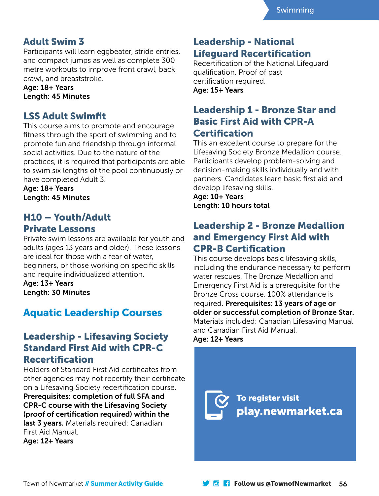## Adult Swim 3

Participants will learn eggbeater, stride entries, and compact jumps as well as complete 300 metre workouts to improve front crawl, back crawl, and breaststroke.

Age: 18+ Years Length: 45 Minutes

### LSS Adult Swimfit

This course aims to promote and encourage fitness through the sport of swimming and to promote fun and friendship through informal social activities. Due to the nature of the practices, it is required that participants are able to swim six lengths of the pool continuously or have completed Adult 3.

Age: 18+ Years Length: 45 Minutes

# H10 – Youth/Adult Private Lessons

Private swim lessons are available for youth and adults (ages 13 years and older). These lessons are ideal for those with a fear of water, beginners, or those working on specific skills and require individualized attention.

Age: 13+ Years Length: 30 Minutes

# Aquatic Leadership Courses

### Leadership - Lifesaving Society Standard First Aid with CPR-C Recertification

Holders of Standard First Aid certificates from other agencies may not recertify their certificate on a Lifesaving Society recertification course. Prerequisites: completion of full SFA and CPR-C course with the Lifesaving Society (proof of certification required) within the last 3 years. Materials required: Canadian First Aid Manual. Age: 12+ Years

## Leadership - National Lifeguard Recertification

Recertification of the National Lifeguard qualification. Proof of past certification required. Age: 15+ Years

## Leadership 1 - Bronze Star and Basic First Aid with CPR-A Certification

This an excellent course to prepare for the Lifesaving Society Bronze Medallion course. Participants develop problem-solving and decision-making skills individually and with partners. Candidates learn basic first aid and develop lifesaving skills.

Age: 10+ Years Length: 10 hours total

## Leadership 2 - Bronze Medallion and Emergency First Aid with CPR-B Certification

This course develops basic lifesaving skills, including the endurance necessary to perform water rescues. The Bronze Medallion and Emergency First Aid is a prerequisite for the Bronze Cross course. 100% attendance is required. Prerequisites: 13 years of age or older or successful completion of Bronze Star. Materials included: Canadian Lifesaving Manual and Canadian First Aid Manual. Age: 12+ Years

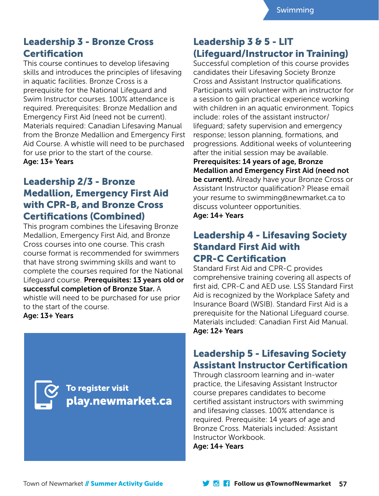# Leadership 3 - Bronze Cross **Certification**

This course continues to develop lifesaving skills and introduces the principles of lifesaving in aquatic facilities. Bronze Cross is a prerequisite for the National Lifeguard and Swim Instructor courses. 100% attendance is required. Prerequisites: Bronze Medallion and Emergency First Aid (need not be current). Materials required: Canadian Lifesaving Manual from the Bronze Medallion and Emergency First Aid Course. A whistle will need to be purchased for use prior to the start of the course. Age: 13+ Years

## Leadership 2/3 - Bronze Medallion, Emergency First Aid with CPR-B, and Bronze Cross Certifications (Combined)

This program combines the Lifesaving Bronze Medallion, Emergency First Aid, and Bronze Cross courses into one course. This crash course format is recommended for swimmers that have strong swimming skills and want to complete the courses required for the National Lifeguard course. Prerequisites: 13 years old or successful completion of Bronze Star. A whistle will need to be purchased for use prior to the start of the course.

Age: 13+ Years



# Leadership 3 & 5 - LIT (Lifeguard/Instructor in Training)

Successful completion of this course provides candidates their Lifesaving Society Bronze Cross and Assistant Instructor qualifications. Participants will volunteer with an instructor for a session to gain practical experience working with children in an aquatic environment. Topics include: roles of the assistant instructor/ lifeguard; safety supervision and emergency response; lesson planning, formations, and progressions. Additional weeks of volunteering after the initial session may be available.

Prerequisites: 14 years of age, Bronze Medallion and Emergency First Aid (need not

be current). Already have your Bronze Cross or Assistant Instructor qualification? Please email your resume to swimming@newmarket.ca to discuss volunteer opportunities. Age: 14+ Years

## Leadership 4 - Lifesaving Society Standard First Aid with CPR-C Certification

Standard First Aid and CPR-C provides comprehensive training covering all aspects of first aid, CPR-C and AED use. LSS Standard First Aid is recognized by the Workplace Safety and Insurance Board (WSIB). Standard First Aid is a prerequisite for the National Lifeguard course. Materials included: Canadian First Aid Manual. Age: 12+ Years

# Leadership 5 - Lifesaving Society Assistant Instructor Certification

Through classroom learning and in-water practice, the Lifesaving Assistant Instructor course prepares candidates to become certified assistant instructors with swimming and lifesaving classes. 100% attendance is required. Prerequisite: 14 years of age and Bronze Cross. Materials included: Assistant Instructor Workbook.

Age: 14+ Years